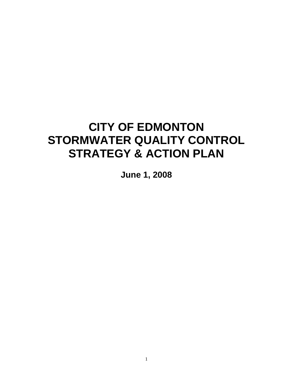# **CITY OF EDMONTON STORMWATER QUALITY CONTROL STRATEGY & ACTION PLAN**

**June 1, 2008**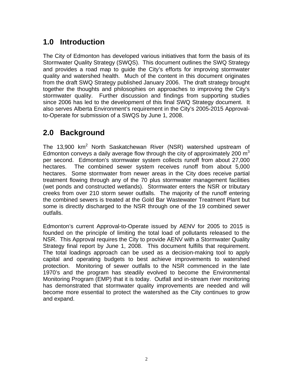### **1.0 Introduction**

The City of Edmonton has developed various initiatives that form the basis of its Stormwater Quality Strategy (SWQS). This document outlines the SWQ Strategy and provides a road map to guide the City's efforts for improving stormwater quality and watershed health. Much of the content in this document originates from the draft SWQ Strategy published January 2006. The draft strategy brought together the thoughts and philosophies on approaches to improving the City's stormwater quality. Further discussion and findings from supporting studies since 2006 has led to the development of this final SWQ Strategy document. It also serves Alberta Environment's requirement in the City's 2005-2015 Approvalto-Operate for submission of a SWQS by June 1, 2008.

### **2.0 Background**

The 13,900  $km^2$  North Saskatchewan River (NSR) watershed upstream of Edmonton conveys a daily average flow through the city of approximately 200  $m^3$ per second. Edmonton's stormwater system collects runoff from about 27,000 hectares. The combined sewer system receives runoff from about 5,000 hectares. Some stormwater from newer areas in the City does receive partial treatment flowing through any of the 70 plus stormwater management facilities (wet ponds and constructed wetlands). Stormwater enters the NSR or tributary creeks from over 210 storm sewer outfalls. The majority of the runoff entering the combined sewers is treated at the Gold Bar Wastewater Treatment Plant but some is directly discharged to the NSR through one of the 19 combined sewer outfalls.

Edmonton's current Approval-to-Operate issued by AENV for 2005 to 2015 is founded on the principle of limiting the total load of pollutants released to the NSR. This Approval requires the City to provide AENV with a Stormwater Quality Strategy final report by June 1, 2008. This document fulfills that requirement. The total loadings approach can be used as a decision-making tool to apply capital and operating budgets to best achieve improvements to watershed protection. Monitoring of sewer outfalls to the NSR commenced in the late 1970's and the program has steadily evolved to become the Environmental Monitoring Program (EMP) that it is today. Outfall and in-stream river monitoring has demonstrated that stormwater quality improvements are needed and will become more essential to protect the watershed as the City continues to grow and expand.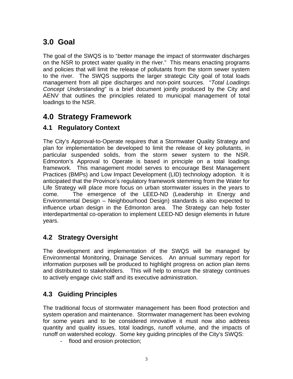## **3.0 Goal**

The goal of the SWQS is to "*better* manage the impact of stormwater discharges on the NSR to protect water quality in the river." This means enacting programs and policies that will limit the release of pollutants from the storm sewer system to the river. The SWQS supports the larger strategic City goal of total loads management from all pipe discharges and non-point sources. "*Total Loadings Concept Understanding*" is a brief document jointly produced by the City and AENV that outlines the principles related to municipal management of total loadings to the NSR.

### **4.0 Strategy Framework**

#### **4.1 Regulatory Context**

The City's Approval-to-Operate requires that a Stormwater Quality Strategy and plan for implementation be developed to limit the release of key pollutants, in particular suspended solids, from the storm sewer system to the NSR. Edmonton's Approval to Operate is based in principle on a total loadings framework. This management model serves to encourage Best Management Practices (BMPs) and Low Impact Development (LID) technology adoption. It is anticipated that the Province's regulatory framework stemming from the Water for Life Strategy will place more focus on urban stormwater issues in the years to come. The emergence of the LEED-ND (Leadership in Energy and Environmental Design – Neighbourhood Design) standards is also expected to influence urban design in the Edmonton area. The Strategy can help foster interdepartmental co-operation to implement LEED-ND design elements in future years.

#### **4.2 Strategy Oversight**

The development and implementation of the SWQS will be managed by Environmental Monitoring, Drainage Services. An annual summary report for information purposes will be produced to highlight progress on action plan items and distributed to stakeholders. This will help to ensure the strategy continues to actively engage civic staff and its executive administration.

### **4.3 Guiding Principles**

The traditional focus of stormwater management has been flood protection and system operation and maintenance. Stormwater management has been evolving for some years and to be considered innovative it must now also address quantity and quality issues, total loadings, runoff volume, and the impacts of runoff on watershed ecology. Some key guiding principles of the City's SWQS:

- flood and erosion protection;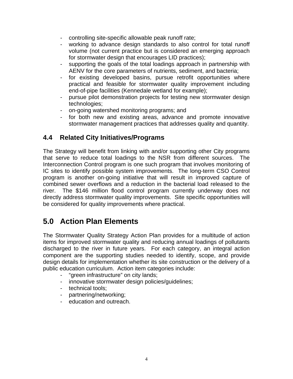- controlling site-specific allowable peak runoff rate;
- working to advance design standards to also control for total runoff volume (not current practice but is considered an emerging approach for stormwater design that encourages LID practices);
- supporting the goals of the total loadings approach in partnership with AENV for the core parameters of nutrients, sediment, and bacteria;
- for existing developed basins, pursue retrofit opportunities where practical and feasible for stormwater quality improvement including end-of-pipe facilities (Kennedale wetland for example);
- pursue pilot demonstration projects for testing new stormwater design technologies;
- on-going watershed monitoring programs; and
- for both new and existing areas, advance and promote innovative stormwater management practices that addresses quality and quantity.

#### **4.4 Related City Initiatives/Programs**

The Strategy will benefit from linking with and/or supporting other City programs that serve to reduce total loadings to the NSR from different sources. The Interconnection Control program is one such program that involves monitoring of IC sites to identify possible system improvements. The long-term CSO Control program is another on-going initiative that will result in improved capture of combined sewer overflows and a reduction in the bacterial load released to the river. The \$146 million flood control program currently underway does not directly address stormwater quality improvements. Site specific opportunities will be considered for quality improvements where practical.

### **5.0 Action Plan Elements**

The Stormwater Quality Strategy Action Plan provides for a multitude of action items for improved stormwater quality and reducing annual loadings of pollutants discharged to the river in future years. For each category, an integral action component are the supporting studies needed to identify, scope, and provide design details for implementation whether its site construction or the delivery of a public education curriculum. Action item categories include:

- "green infrastructure" on city lands;
- innovative stormwater design policies/guidelines;
- technical tools;
- partnering/networking;
- education and outreach.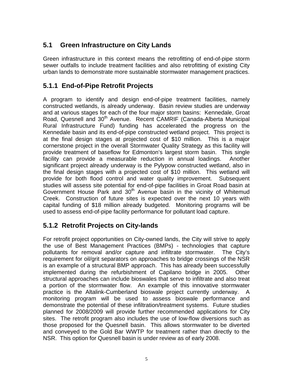### **5.1 Green Infrastructure on City Lands**

Green infrastructure in this context means the retrofitting of end-of-pipe storm sewer outfalls to include treatment facilities and also retrofitting of existing City urban lands to demonstrate more sustainable stormwater management practices.

#### **5.1.1 End-of-Pipe Retrofit Projects**

A program to identify and design end-of-pipe treatment facilities, namely constructed wetlands, is already underway. Basin review studies are underway and at various stages for each of the four major storm basins: Kennedale, Groat Road, Quesnell and 30<sup>th</sup> Avenue. Recent CAMRIF (Canada-Alberta Municipal Rural Infrastructure Fund) funding has accelerated the progress on the Kennedale basin and its end-of-pipe constructed wetland project. This project is at the final design stages at projected cost of \$10 million. This is a major cornerstone project in the overall Stormwater Quality Strategy as this facility will provide treatment of baseflow for Edmonton's largest storm basin. This single facility can provide a measurable reduction in annual loadings. Another significant project already underway is the Pylypow constructed wetland, also in the final design stages with a projected cost of \$10 million. This wetland will provide for both flood control and water quality improvement. Subsequent studies will assess site potential for end-of-pipe facilities in Groat Road basin at Government House Park and 30<sup>th</sup> Avenue basin in the vicinity of Whitemud Creek. Construction of future sites is expected over the next 10 years with capital funding of \$18 million already budgeted. Monitoring programs will be used to assess end-of-pipe facility performance for pollutant load capture.

#### **5.1.2 Retrofit Projects on City-lands**

For retrofit project opportunities on City-owned lands, the City will strive to apply the use of Best Management Practices (BMPs) - technologies that capture pollutants for removal and/or capture and infiltrate stormwater. The City's requirement for oil/grit separators on approaches to bridge crossings of the NSR is an example of a structural BMP approach. This has already been successfully implemented during the refurbishment of Capilano bridge in 2005. Other structural approaches can include bioswales that serve to infiltrate and also treat a portion of the stormwater flow. An example of this innovative stormwater practice is the Altalink-Cumberland bioswale project currently underway. A monitoring program will be used to assess bioswale performance and demonstrate the potential of these infiltration/treatment systems. Future studies planned for 2008/2009 will provide further recommended applications for City sites. The retrofit program also includes the use of low-flow diversions such as those proposed for the Quesnell basin. This allows stormwater to be diverted and conveyed to the Gold Bar WWTP for treatment rather than directly to the NSR. This option for Quesnell basin is under review as of early 2008.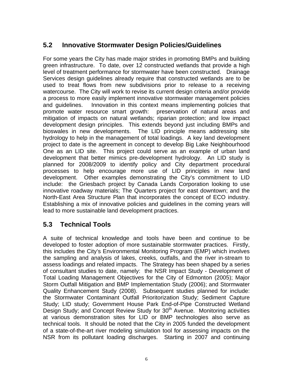### **5.2 Innovative Stormwater Design Policies/Guidelines**

For some years the City has made major strides in promoting BMPs and building green infrastructure. To date, over 12 constructed wetlands that provide a high level of treatment performance for stormwater have been constructed. Drainage Services design guidelines already require that constructed wetlands are to be used to treat flows from new subdivisions prior to release to a receiving watercourse. The City will work to revise its current design criteria and/or provide a process to more easily implement innovative stormwater management policies and guidelines. Innovation in this context means implementing policies that promote water resource smart growth: preservation of natural areas and mitigation of impacts on natural wetlands; riparian protection; and low impact development design principles. This extends beyond just including BMPs and bioswales in new developments. The LID principle means addressing site hydrology to help in the management of total loadings. A key land development project to date is the agreement in concept to develop Big Lake Neighbourhood One as an LID site. This project could serve as an example of urban land development that better mimics pre-development hydrology. An LID study is planned for 2008/2009 to identify policy and City department procedural processes to help encourage more use of LID principles in new land development. Other examples demonstrating the City's commitment to LID include: the Griesbach project by Canada Lands Corporation looking to use innovative roadway materials; The Quarters project for east downtown; and the North-East Area Structure Plan that incorporates the concept of ECO industry. Establishing a mix of innovative policies and guidelines in the coming years will lead to more sustainable land development practices.

#### **5.3 Technical Tools**

A suite of technical knowledge and tools have been and continue to be developed to foster adoption of more sustainable stormwater practices. Firstly, this includes the City's Environmental Monitoring Program (EMP) which involves the sampling and analysis of lakes, creeks, outfalls, and the river in-stream to assess loadings and related impacts. The Strategy has been shaped by a series of consultant studies to date, namely: the NSR Impact Study - Development of Total Loading Management Objectives for the City of Edmonton (2005); Major Storm Outfall Mitigation and BMP Implementation Study (2006); and Stormwater Quality Enhancement Study (2008). Subsequent studies planned for include: the Stormwater Contaminant Outfall Prioritorization Study; Sediment Capture Study; LID study; Government House Park End-of-Pipe Constructed Wetland Design Study; and Concept Review Study for 30<sup>th</sup> Avenue. Monitoring activities at various demonstration sites for LID or BMP technologies also serve as technical tools. It should be noted that the City in 2005 funded the development of a state-of-the-art river modeling simulation tool for assessing impacts on the NSR from its pollutant loading discharges. Starting in 2007 and continuing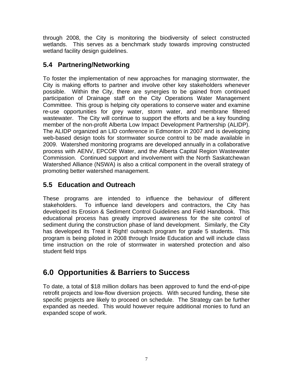through 2008, the City is monitoring the biodiversity of select constructed wetlands. This serves as a benchmark study towards improving constructed wetland facility design guidelines.

### **5.4 Partnering/Networking**

To foster the implementation of new approaches for managing stormwater, the City is making efforts to partner and involve other key stakeholders whenever possible. Within the City, there are synergies to be gained from continued participation of Drainage staff on the City Operations Water Management Committee. This group is helping city operations to conserve water and examine re-use opportunities for grey water, storm water, and membrane filtered wastewater. The City will continue to support the efforts and be a key founding member of the non-profit Alberta Low Impact Development Partnership (ALIDP). The ALIDP organized an LID conference in Edmonton in 2007 and is developing web-based design tools for stormwater source control to be made available in 2009. Watershed monitoring programs are developed annually in a collaborative process with AENV, EPCOR Water, and the Alberta Capital Region Wastewater Commission. Continued support and involvement with the North Saskatchewan Watershed Alliance (NSWA) is also a critical component in the overall strategy of promoting better watershed management.

### **5.5 Education and Outreach**

These programs are intended to influence the behaviour of different stakeholders. To influence land developers and contractors, the City has developed its Erosion & Sediment Control Guidelines and Field Handbook. This educational process has greatly improved awareness for the site control of sediment during the construction phase of land development. Similarly, the City has developed its Treat it Right! outreach program for grade 5 students. This program is being piloted in 2008 through Inside Education and will include class time instruction on the role of stormwater in watershed protection and also student field trips

### **6.0 Opportunities & Barriers to Success**

To date, a total of \$18 million dollars has been approved to fund the end-of-pipe retrofit projects and low-flow diversion projects. With secured funding, these site specific projects are likely to proceed on schedule. The Strategy can be further expanded as needed. This would however require additional monies to fund an expanded scope of work.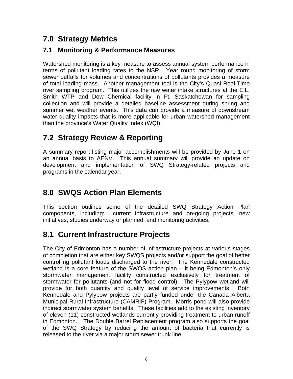### **7.0 Strategy Metrics**

#### **7.1 Monitoring & Performance Measures**

Watershed monitoring is a key measure to assess annual system performance in terms of pollutant loading rates to the NSR. Year round monitoring of storm sewer outfalls for volumes and concentrations of pollutants provides a measure of total loading mass. Another management tool is the City's Quasi Real-Time river sampling program. This utilizes the raw water intake structures at the E.L. Smith WTP and Dow Chemical facility in Ft. Saskatchewan for sampling collection and will provide a detailed baseline assessment during spring and summer wet weather events. This data can provide a measure of downstream water quality impacts that is more applicable for urban watershed management than the province's Water Quality Index (WQI).

### **7.2 Strategy Review & Reporting**

A summary report listing major accomplishments will be provided by June 1 on an annual basis to AENV. This annual summary will provide an update on development and implementation of SWQ Strategy-related projects and programs in the calendar year.

### **8.0 SWQS Action Plan Elements**

This section outlines some of the detailed SWQ Strategy Action Plan components, including: current infrastructure and on-going projects, new initiatives, studies underway or planned, and monitoring activities.

### **8.1 Current Infrastructure Projects**

The City of Edmonton has a number of infrastructure projects at various stages of completion that are either key SWQS projects and/or support the goal of better controlling pollutant loads discharged to the river. The Kennedale constructed wetland is a core feature of the SWQS action plan – it being Edmonton's only stormwater management facility constructed exclusively for treatment of stormwater for pollutants (and not for flood control). The Pylypow wetland will provide for both quantity and quality level of service improvements. Both Kennedale and Pylypow projects are partly funded under the Canada Alberta Municipal Rural Infrastructure (CAMRIF) Program. Morris pond will also provide indirect stormwater system benefits. These facilities add to the existing inventory of eleven (11) constructed wetlands currently providing treatment to urban runoff in Edmonton. The Double Barrel Replacement program also supports the goal of the SWQ Strategy by reducing the amount of bacteria that currently is released to the river via a major storm sewer trunk line.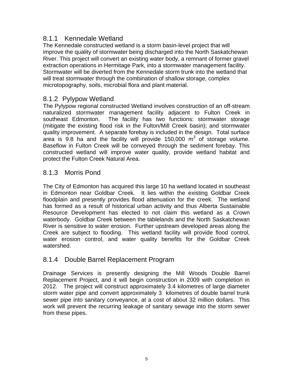#### 8.1.1 Kennedale Wetland

The Kennedale constructed wetland is a storm basin-level project that will improve the quality of stormwater being discharged into the North Saskatchewan River. This project will convert an existing water body, a remnant of former gravel extraction operations in Hermitage Park, into a stormwater management facility. Stormwater will be diverted from the Kennedale storm trunk into the wetland that will treat stormwater through the combination of shallow storage, complex microtopography, soils, microbial flora and plant material.

#### 8.1.2 Pylypow Wetland

The Pylypow regional constructed Wetland involves construction of an off-stream naturalized stormwater management facility adjacent to Fulton Creek in southeast Edmonton. The facility has two functions: stormwater storage (mitigate the existing flood risk in the Fulton/Mill Creek basin); and stormwater quality improvement. A separate forebay is included in the design. Total surface area is 9.8 ha and the facility will provide 150,000  $m^3$  of storage volume. Baseflow in Fulton Creek will be conveyed through the sediment forebay. This constructed wetland will improve water quality, provide wetland habitat and protect the Fulton Creek Natural Area.

#### 8.1.3 Morris Pond

The City of Edmonton has acquired this large 10 ha wetland located in southeast in Edmonton near Goldbar Creek. It lies within the existing Goldbar Creek floodplain and presently provides flood attenuation for the creek. The wetland has formed as a result of historical urban activity and thus Alberta Sustainable Resource Development has elected to not claim this wetland as a Crown waterbody. Goldbar Creek between the tablelands and the North Saskatchewan River is sensitive to water erosion. Further upstream developed areas along the Creek are subject to flooding. This wetland facility will provide flood control, water erosion control, and water quality benefits for the Goldbar Creek watershed.

#### 8.1.4 Double Barrel Replacement Program

Drainage Services is presently designing the Mill Woods Double Barrel Replacement Project, and it will begin construction in 2009 with completion in 2012. The project will construct approximately 3.4 kilometres of large diameter storm water pipe and convert approximately 3 kilometres of double barrel trunk sewer pipe into sanitary conveyance, at a cost of about 32 million dollars. This work will prevent the recurring leakage of sanitary sewage into the storm sewer from these pipes.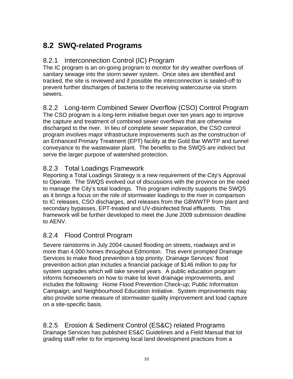### **8.2 SWQ-related Programs**

#### 8.2.1 Interconnection Control (IC) Program

The IC program is an on-going program to monitor for dry weather overflows of sanitary sewage into the storm sewer system. Once sites are identified and tracked, the site is reviewed and if possible the interconnection is sealed-off to prevent further discharges of bacteria to the receiving watercourse via storm sewers.

#### 8.2.2 Long-term Combined Sewer Overflow (CSO) Control Program

The CSO program is a long-term initiative begun over ten years ago to improve the capture and treatment of combined sewer overflows that are otherwise discharged to the river. In lieu of complete sewer separation, the CSO control program involves major infrastructure improvements such as the construction of an Enhanced Primary Treatment (EPT) facility at the Gold Bar WWTP and tunnel conveyance to the wastewater plant. The benefits to the SWQS are indirect but serve the larger purpose of watershed protection.

#### 8.2.3 Total Loadings Framework

Reporting a Total Loadings Strategy is a new requirement of the City's Approval to Operate. The SWQS evolved out of discussions with the province on the need to manage the City's total loadings. This program indirectly supports the SWQS as it brings a focus on the role of stormwater loadings to the river in comparison to IC releases, CSO discharges, and releases from the GBWWTP from plant and secondary bypasses, EPT-treated and UV-disinfected final effluents. This framework will be further developed to meet the June 2009 submission deadline to AENV.

#### 8.2.4 Flood Control Program

Severe rainstorms in July 2004 caused flooding on streets, roadways and in more than 4,000 homes throughout Edmonton. This event prompted Drainage Services to make flood prevention a top priority. Drainage Services' flood prevention action plan includes a financial package of \$146 million to pay for system upgrades which will take several years. A public education program informs homeowners on how to make lot level drainage improvements, and includes the following: Home Flood Prevention Check-up; Public Information Campaign; and Neighbourhood Education Initiative. System improvements may also provide some measure of stormwater quality improvement and load capture on a site-specific basis.

#### 8.2.5 Erosion & Sediment Control (ES&C) related Programs Drainage Services has published ES&C Guidelines and a Field Manual that lot grading staff refer to for improving local land development practices from a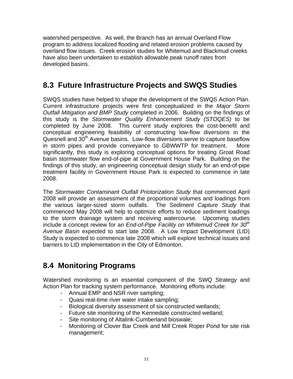watershed perspective. As well, the Branch has an annual Overland Flow program to address localized flooding and related erosion problems caused by overland flow issues. Creek erosion studies for Whitemud and Blackmud creeks have also been undertaken to establish allowable peak runoff rates from developed basins.

### **8.3 Future Infrastructure Projects and SWQS Studies**

SWQS studies have helped to shape the development of the SWQS Action Plan. Current infrastructure projects were first conceptualized in the *Major Storm Outfall Mitigation and BMP Study* completed in 2006. Building on the findings of this study is the *Stormwater Quality Enhancement Study (STOQES)* to be completed by June 2008. This current study explores the cost-benefit and conceptual engineering feasibility of constructing low-flow diversions in the Quesnell and 30<sup>th</sup> Avenue basins. Low-flow diversions serve to capture baseflow in storm pipes and provide conveyance to GBWWTP for treatment. More significantly, this study is exploring conceptual options for treating Groat Road basin stormwater flow end-of-pipe at Government House Park. Building on the findings of this study, an engineering conceptual design study for an end-of-pipe treatment facility in Government House Park is expected to commence in late 2008.

The *Stormwater Contaminant Outfall Priotorization Study* that commenced April 2008 will provide an assessment of the proportional volumes and loadings from the various larger-sized storm outfalls. The *Sediment Capture Study* that commenced May 2008 will help to optimize efforts to reduce sediment loadings to the storm drainage system and receiving watercourse. Upcoming studies include a concept review for an *End-of-Pipe Facility on Whitemud Creek for 30th Avenue Basin* expected to start late 2008. A Low Impact Development (LID) Study is expected to commence late 2008 which will explore technical issues and barriers to LID implementation in the City of Edmonton.

### **8.4 Monitoring Programs**

Watershed monitoring is an essential component of the SWQ Strategy and Action Plan for tracking system performance. Monitoring efforts include:

- Annual EMP and NSR river sampling;
- Quasi real-time river water intake sampling;
- Biological diversity assessment of six constructed wetlands;
- Future site monitoring of the Kennedale constructed wetland;
- Site monitoring of Altalink-Cumberland bioswale;
- Monitoring of Clover Bar Creek and Mill Creek Roper Pond for site risk management;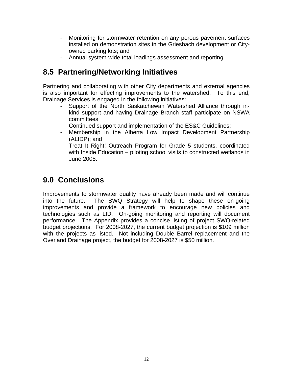- Monitoring for stormwater retention on any porous pavement surfaces installed on demonstration sites in the Griesbach development or Cityowned parking lots; and
- Annual system-wide total loadings assessment and reporting.

### **8.5 Partnering/Networking Initiatives**

Partnering and collaborating with other City departments and external agencies is also important for effecting improvements to the watershed. To this end, Drainage Services is engaged in the following initiatives:

- Support of the North Saskatchewan Watershed Alliance through inkind support and having Drainage Branch staff participate on NSWA committees;
- Continued support and implementation of the ES&C Guidelines;
- Membership in the Alberta Low Impact Development Partnership (ALIDP); and
- Treat It Right! Outreach Program for Grade 5 students, coordinated with Inside Education – piloting school visits to constructed wetlands in June 2008.

### **9.0 Conclusions**

Improvements to stormwater quality have already been made and will continue into the future. The SWQ Strategy will help to shape these on-going improvements and provide a framework to encourage new policies and technologies such as LID. On-going monitoring and reporting will document performance. The Appendix provides a concise listing of project SWQ-related budget projections. For 2008-2027, the current budget projection is \$109 million with the projects as listed. Not including Double Barrel replacement and the Overland Drainage project, the budget for 2008-2027 is \$50 million.